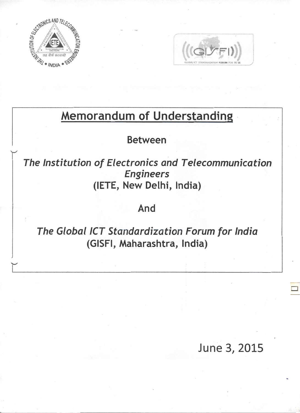



# Memorandum of Understanding

Between

The Institution of Electronics and Telecommunication Engineers (IETE, New Delhi, India)

# And

The Global ICT Standardization Forum for India (GISFI, Maharashtra, India)

June 3, 2015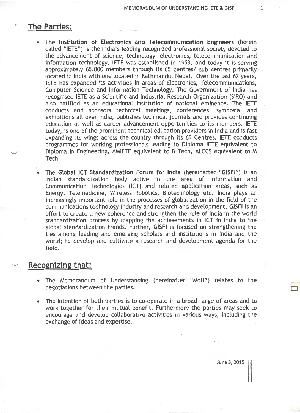## **The Parties:**

- The Institution of Electronics and Telecommunication Engineers (herein called "IETE") is the India's leading recognized professional society devoted to the advancement of science, technology, electronics, telecommunication and information technology. IETE was established in 1953, and today it is serving approximately 65,000 members through its 65 centres/ sub centres primarily located in India with one located in Kathmandu, Nepal. Over the last 62 years, IETE has expanded its activities in areas of Electronics, Telecommunications, Computer Science and Information Technology. The Government of India has recognised IETE as a Scientific and Industrial Research Organization (SIRO) and also notified as an educational Institution of national eminence. The IETE conducts and sponsors technical meetings, conferences, symposia, and exhibitions all over India, publishes technical journals and provides continuing education as well as career advancement opportunities to its members. IETE today, is one of the prominent technical education providers in India and is fast expanding its wings across the country through its 65 Centres. IETE conducts programmes for working professionals leading to Diploma IETE equivalent to Diploma in Engineering, AMIETE equivalent to B Tech, ALCCS equivalent to M Tech.
- The Global ICT Standardization Forum for India (hereinafter "GISFI") is an Indian standardization body active in the area of Information and Communication Technologies (ICT) and related application areas, such as Energy, Telemedicine, Wireless Robotics, Biotechnology etc. India plays an increasingly important role in the processes of globalization in the field of the communications technology industry and research and development. GISFI is an effort to create a new coherence and strengthen the role of India in the world standardization process by mapping the achievements in ICT in India to the global standardization trends. Further, GISFI is focused on strengthening the ties among leading and emerging scholars and institutions in India and the world; to develop and cultivate a research and development agenda for the field.

### **Recognizing that:**

- The Memorandum of Understanding (hereinafter "MoU") relates to the negotiations between the parties.
- The intention of both parties is to co-operate in a broad range of areas and to work together for their mutual benefit. Furthermore the parties may seek to encourage and develop collaborative activities in various ways, including the exchange of ideas and expertise.

June 3, 2015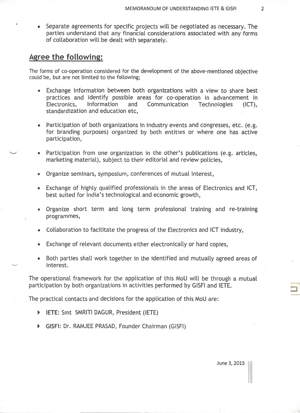• Separate agreements for specific projects will be negotiated as necessary. The parties understand that any financial considerations associated with any forms of collaboration will be dealt with separately.

#### **Agree the following:**

The forms of co-operation considered for the development of the above-mentioned objective could be, but are not limited to the following;

- Exchange information between both organizations with a view to share best practices and identify possible areas for co-operation in advancement in<br>Electronics, Information and Communication Technologies (ICT), Electronics, Information and Communication Technologies (ICT), standardization and education etc,
- Participation of both organizations in industry events and congresses, etc. (e.g. for branding purposes) organized by both entities or where one has active participation,
- Participation from one organization in the other's publications (e.g. articles, marketing material), subject to their editorial and review policies,
- Organize seminars, symposium, conferences of mutual interest,
- Exchange of highly qualified professionals in the areas of Electronics and ICT, best suited for India's technological and economic growth,
- Organize short term and long term professional training and re-training programmes,
- Collaboration to facilitate the progress of the Electronics and ICT industry,
- Exchange of relevant documents either electronically or hard copies,
- Both parties shall work together in the identified and mutually agreed areas of interest.

The operational framework for the application of this MoU will be through a mutual participation by both organizations in activities performed by GISFI and IETE.

The practical contacts and decisions for the application of this MoU are:

- <sup>~</sup>**IETE:** Smt SMRITI DAGUR, President (IETE)
- <sup>~</sup>GISFI: Dr. RAMJEE PRASAD, Founder Chairman (GISFI)

D